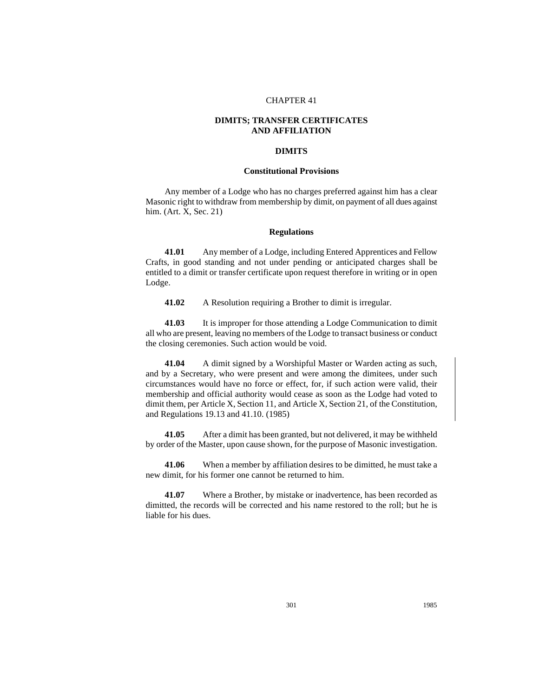# CHAPTER 41

# **DIMITS; TRANSFER CERTIFICATES AND AFFILIATION**

# **DIMITS**

## **Constitutional Provisions**

Any member of a Lodge who has no charges preferred against him has a clear Masonic right to withdraw from membership by dimit, on payment of all dues against him. (Art. X, Sec. 21)

# **Regulations**

**41.01** Any member of a Lodge, including Entered Apprentices and Fellow Crafts, in good standing and not under pending or anticipated charges shall be entitled to a dimit or transfer certificate upon request therefore in writing or in open Lodge.

**41.02** A Resolution requiring a Brother to dimit is irregular.

**41.03** It is improper for those attending a Lodge Communication to dimit all who are present, leaving no members of the Lodge to transact business or conduct the closing ceremonies. Such action would be void.

**41.04** A dimit signed by a Worshipful Master or Warden acting as such, and by a Secretary, who were present and were among the dimitees, under such circumstances would have no force or effect, for, if such action were valid, their membership and official authority would cease as soon as the Lodge had voted to dimit them, per Article X, Section 11, and Article X, Section 21, of the Constitution, and Regulations 19.13 and 41.10. (1985)

**41.05** After a dimit has been granted, but not delivered, it may be withheld by order of the Master, upon cause shown, for the purpose of Masonic investigation.

**41.06** When a member by affiliation desires to be dimitted, he must take a new dimit, for his former one cannot be returned to him.

**41.07** Where a Brother, by mistake or inadvertence, has been recorded as dimitted, the records will be corrected and his name restored to the roll; but he is liable for his dues.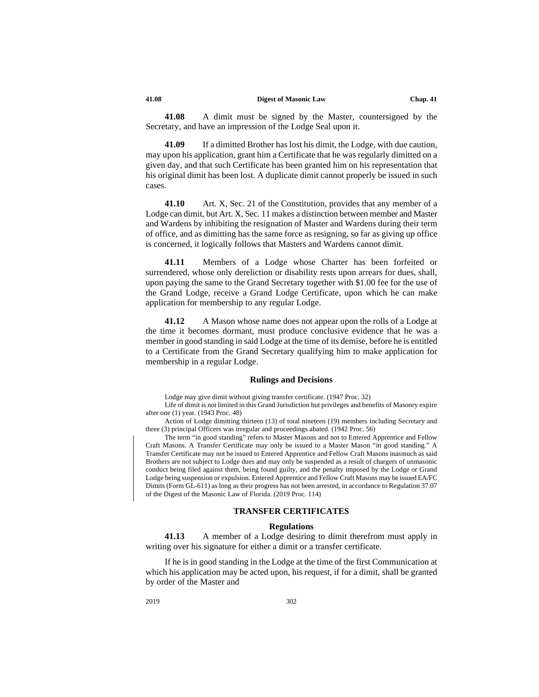### **41.08 Digest of Masonic Law Chap. 41**

**41.08** A dimit must be signed by the Master, countersigned by the Secretary, and have an impression of the Lodge Seal upon it.

**41.09** If a dimitted Brother has lost his dimit, the Lodge, with due caution, may upon his application, grant him a Certificate that he was regularly dimitted on a given day, and that such Certificate has been granted him on his representation that his original dimit has been lost. A duplicate dimit cannot properly be issued in such cases.

**41.10** Art. X, Sec. 21 of the Constitution, provides that any member of a Lodge can dimit, but Art. X, Sec. 11 makes a distinction between member and Master and Wardens by inhibiting the resignation of Master and Wardens during their term of office, and as dimitting has the same force as resigning, so far as giving up office is concerned, it logically follows that Masters and Wardens cannot dimit.

**41.11** Members of a Lodge whose Charter has been forfeited or surrendered, whose only dereliction or disability rests upon arrears for dues, shall, upon paying the same to the Grand Secretary together with \$1.00 fee for the use of the Grand Lodge, receive a Grand Lodge Certificate, upon which he can make application for membership to any regular Lodge.

**41.12** A Mason whose name does not appear upon the rolls of a Lodge at the time it becomes dormant, must produce conclusive evidence that he was a member in good standing in said Lodge at the time of its demise, before he is entitled to a Certificate from the Grand Secretary qualifying him to make application for membership in a regular Lodge.

#### **Rulings and Decisions**

Lodge may give dimit without giving transfer certificate. (1947 Proc. 32)

Life of dimit is not limited in this Grand Jurisdiction but privileges and benefits of Masonry expire after one (1) year. (1943 Proc. 48)

Action of Lodge dimitting thirteen (13) of total nineteen (19) members including Secretary and three (3) principal Officers was irregular and proceedings abated. (1942 Proc. 56)

The term "in good standing" refers to Master Masons and not to Entered Apprentice and Fellow Craft Masons. A Transfer Certificate may only be issued to a Master Mason "in good standing." A Transfer Certificate may not be issued to Entered Apprentice and Fellow Craft Masons inasmuch as said Brothers are not subject to Lodge dues and may only be suspended as a result of chargers of unmasonic conduct being filed against them, being found guilty, and the penalty imposed by the Lodge or Grand Lodge being suspension or expulsion. Entered Apprentice and Fellow Craft Masons may be issued EA/FC Dimits (Form GL-611) as long as their progress has not been arrested, in accordance to Regulation 37.07 of the Digest of the Masonic Law of Florida. (2019 Proc. 114)

# **TRANSFER CERTIFICATES**

#### **Regulations**

**41.13** A member of a Lodge desiring to dimit therefrom must apply in writing over his signature for either a dimit or a transfer certificate.

If he is in good standing in the Lodge at the time of the first Communication at which his application may be acted upon, his request, if for a dimit, shall be granted by order of the Master and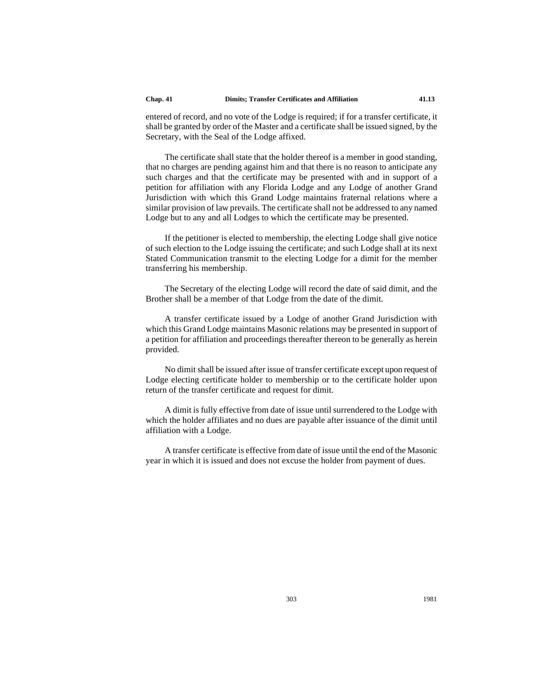entered of record, and no vote of the Lodge is required; if for a transfer certificate, it shall be granted by order of the Master and a certificate shall be issued signed, by the Secretary, with the Seal of the Lodge affixed.

The certificate shall state that the holder thereof is a member in good standing, that no charges are pending against him and that there is no reason to anticipate any such charges and that the certificate may be presented with and in support of a petition for affiliation with any Florida Lodge and any Lodge of another Grand Jurisdiction with which this Grand Lodge maintains fraternal relations where a similar provision of law prevails. The certificate shall not be addressed to any named Lodge but to any and all Lodges to which the certificate may be presented.

If the petitioner is elected to membership, the electing Lodge shall give notice of such election to the Lodge issuing the certificate; and such Lodge shall at its next Stated Communication transmit to the electing Lodge for a dimit for the member transferring his membership.

The Secretary of the electing Lodge will record the date of said dimit, and the Brother shall be a member of that Lodge from the date of the dimit.

A transfer certificate issued by a Lodge of another Grand Jurisdiction with which this Grand Lodge maintains Masonic relations may be presented in support of a petition for affiliation and proceedings thereafter thereon to be generally as herein provided.

No dimit shall be issued after issue of transfer certificate except upon request of Lodge electing certificate holder to membership or to the certificate holder upon return of the transfer certificate and request for dimit.

A dimit is fully effective from date of issue until surrendered to the Lodge with which the holder affiliates and no dues are payable after issuance of the dimit until affiliation with a Lodge.

A transfer certificate is effective from date of issue until the end of the Masonic year in which it is issued and does not excuse the holder from payment of dues.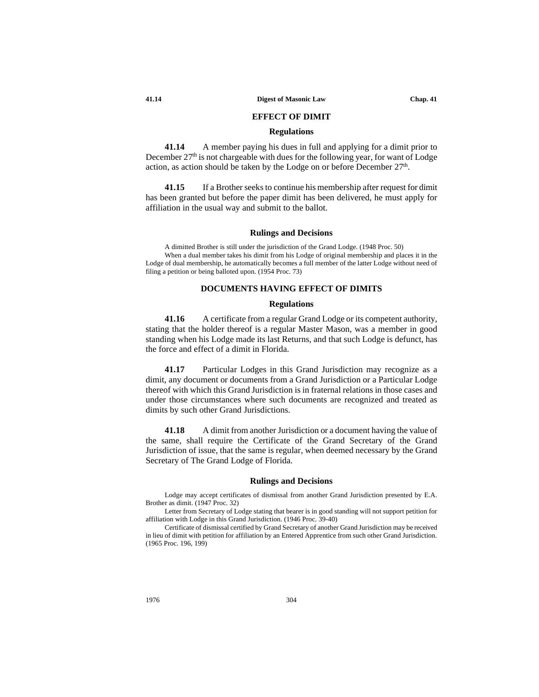# **EFFECT OF DIMIT**

## **Regulations**

**41.14** A member paying his dues in full and applying for a dimit prior to December  $27<sup>th</sup>$  is not chargeable with dues for the following year, for want of Lodge action, as action should be taken by the Lodge on or before December  $27<sup>th</sup>$ .

**41.15** If a Brother seeks to continue his membership after request for dimit has been granted but before the paper dimit has been delivered, he must apply for affiliation in the usual way and submit to the ballot.

## **Rulings and Decisions**

A dimitted Brother is still under the jurisdiction of the Grand Lodge. (1948 Proc. 50) When a dual member takes his dimit from his Lodge of original membership and places it in the Lodge of dual membership, he automatically becomes a full member of the latter Lodge without need of filing a petition or being balloted upon. (1954 Proc. 73)

# **DOCUMENTS HAVING EFFECT OF DIMITS**

# **Regulations**

**41.16** A certificate from a regular Grand Lodge or its competent authority, stating that the holder thereof is a regular Master Mason, was a member in good standing when his Lodge made its last Returns, and that such Lodge is defunct, has the force and effect of a dimit in Florida.

**41.17** Particular Lodges in this Grand Jurisdiction may recognize as a dimit, any document or documents from a Grand Jurisdiction or a Particular Lodge thereof with which this Grand Jurisdiction is in fraternal relations in those cases and under those circumstances where such documents are recognized and treated as dimits by such other Grand Jurisdictions.

**41.18** A dimit from another Jurisdiction or a document having the value of the same, shall require the Certificate of the Grand Secretary of the Grand Jurisdiction of issue, that the same is regular, when deemed necessary by the Grand Secretary of The Grand Lodge of Florida.

#### **Rulings and Decisions**

Lodge may accept certificates of dismissal from another Grand Jurisdiction presented by E.A. Brother as dimit. (1947 Proc. 32)

Letter from Secretary of Lodge stating that bearer is in good standing will not support petition for affiliation with Lodge in this Grand Jurisdiction. (1946 Proc. 39-40)

Certificate of dismissal certified by Grand Secretary of another Grand Jurisdiction may be received in lieu of dimit with petition for affiliation by an Entered Apprentice from such other Grand Jurisdiction. (1965 Proc. 196, 199)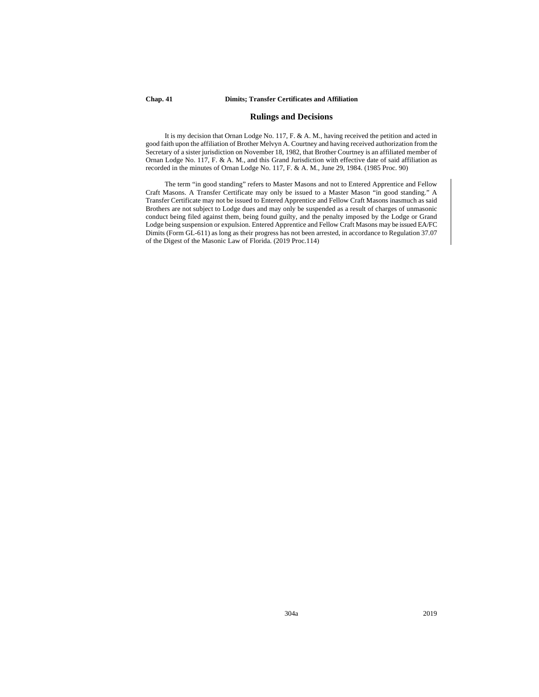# **Rulings and Decisions**

It is my decision that Ornan Lodge No. 117, F. & A. M., having received the petition and acted in good faith upon the affiliation of Brother Melvyn A. Courtney and having received authorization from the Secretary of a sister jurisdiction on November 18, 1982, that Brother Courtney is an affiliated member of Ornan Lodge No. 117, F. & A. M., and this Grand Jurisdiction with effective date of said affiliation as recorded in the minutes of Ornan Lodge No. 117, F. & A. M., June 29, 1984. (1985 Proc. 90)

The term "in good standing" refers to Master Masons and not to Entered Apprentice and Fellow Craft Masons. A Transfer Certificate may only be issued to a Master Mason "in good standing." A Transfer Certificate may not be issued to Entered Apprentice and Fellow Craft Masons inasmuch as said Brothers are not subject to Lodge dues and may only be suspended as a result of charges of unmasonic conduct being filed against them, being found guilty, and the penalty imposed by the Lodge or Grand Lodge being suspension or expulsion. Entered Apprentice and Fellow Craft Masons may be issued EA/FC Dimits (Form GL-611) as long as their progress has not been arrested, in accordance to Regulation 37.07 of the Digest of the Masonic Law of Florida. (2019 Proc.114)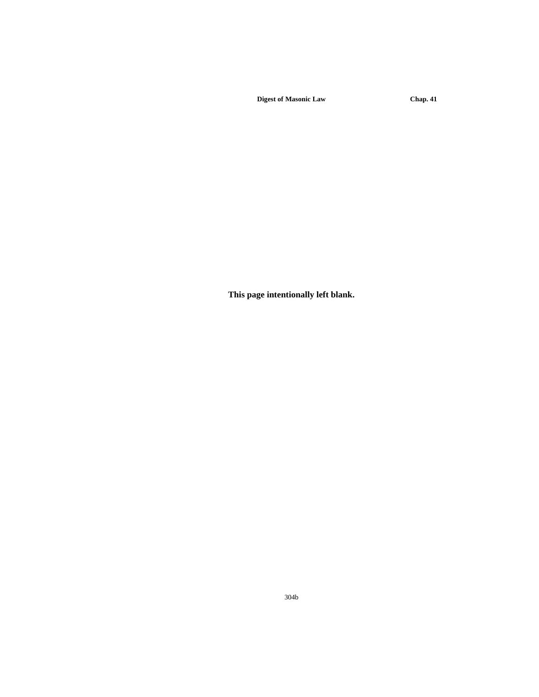**Digest of Masonic Law Chap. 41**

**This page intentionally left blank.**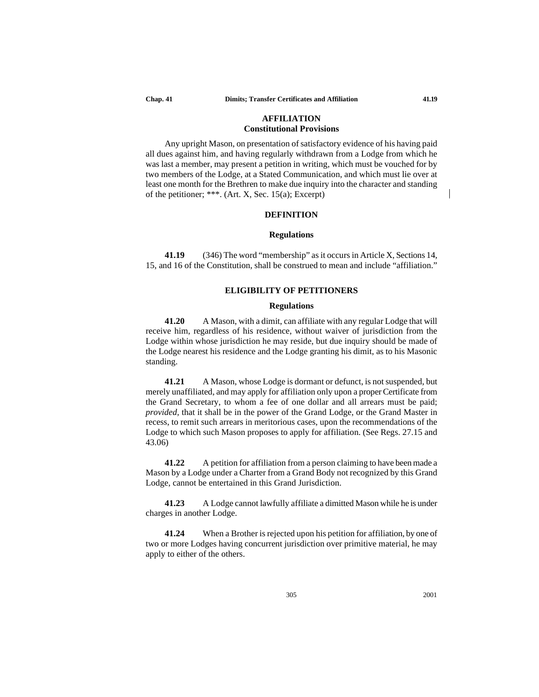# **AFFILIATION Constitutional Provisions**

Any upright Mason, on presentation of satisfactory evidence of his having paid all dues against him, and having regularly withdrawn from a Lodge from which he was last a member, may present a petition in writing, which must be vouched for by two members of the Lodge, at a Stated Communication, and which must lie over at least one month for the Brethren to make due inquiry into the character and standing of the petitioner; \*\*\*. (Art. X, Sec. 15(a); Excerpt)

# **DEFINITION**

## **Regulations**

**41.19** (346) The word "membership" as it occurs in Article X, Sections 14, 15, and 16 of the Constitution, shall be construed to mean and include "affiliation."

# **ELIGIBILITY OF PETITIONERS**

### **Regulations**

**41.20** A Mason, with a dimit, can affiliate with any regular Lodge that will receive him, regardless of his residence, without waiver of jurisdiction from the Lodge within whose jurisdiction he may reside, but due inquiry should be made of the Lodge nearest his residence and the Lodge granting his dimit, as to his Masonic standing.

**41.21** A Mason, whose Lodge is dormant or defunct, is not suspended, but merely unaffiliated, and may apply for affiliation only upon a proper Certificate from the Grand Secretary, to whom a fee of one dollar and all arrears must be paid; *provided,* that it shall be in the power of the Grand Lodge, or the Grand Master in recess, to remit such arrears in meritorious cases, upon the recommendations of the Lodge to which such Mason proposes to apply for affiliation. (See Regs. 27.15 and 43.06)

**41.22** A petition for affiliation from a person claiming to have been made a Mason by a Lodge under a Charter from a Grand Body not recognized by this Grand Lodge, cannot be entertained in this Grand Jurisdiction.

**41.23** A Lodge cannot lawfully affiliate a dimitted Mason while he is under charges in another Lodge.

**41.24** When a Brother is rejected upon his petition for affiliation, by one of two or more Lodges having concurrent jurisdiction over primitive material, he may apply to either of the others.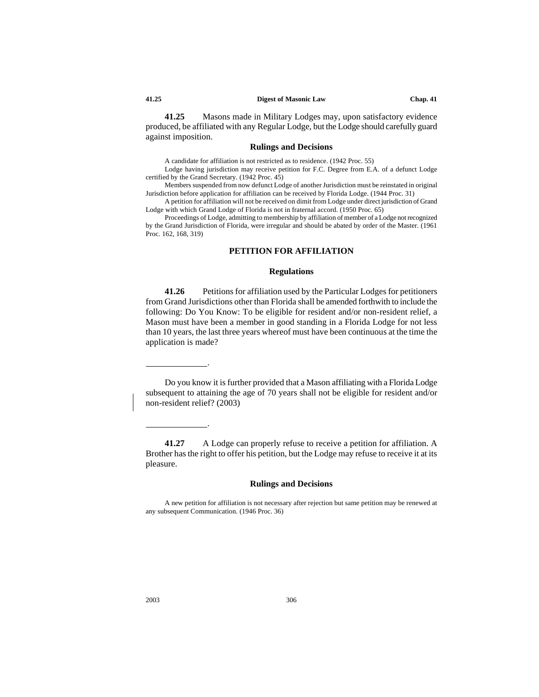### **41.25 Digest of Masonic Law Chap. 41**

**41.25** Masons made in Military Lodges may, upon satisfactory evidence produced, be affiliated with any Regular Lodge, but the Lodge should carefully guard against imposition.

## **Rulings and Decisions**

A candidate for affiliation is not restricted as to residence. (1942 Proc. 55)

Lodge having jurisdiction may receive petition for F.C. Degree from E.A. of a defunct Lodge certified by the Grand Secretary. (1942 Proc. 45)

Members suspended from now defunct Lodge of another Jurisdiction must be reinstated in original Jurisdiction before application for affiliation can be received by Florida Lodge. (1944 Proc. 31)

A petition for affiliation will not be received on dimit from Lodge under direct jurisdiction of Grand Lodge with which Grand Lodge of Florida is not in fraternal accord. (1950 Proc. 65)

Proceedings of Lodge, admitting to membership by affiliation of member of a Lodge not recognized by the Grand Jurisdiction of Florida, were irregular and should be abated by order of the Master. (1961 Proc. 162, 168, 319)

# **PETITION FOR AFFILIATION**

# **Regulations**

**41.26** Petitions for affiliation used by the Particular Lodges for petitioners from Grand Jurisdictions other than Florida shall be amended forthwith to include the following: Do You Know: To be eligible for resident and/or non-resident relief, a Mason must have been a member in good standing in a Florida Lodge for not less than 10 years, the last three years whereof must have been continuous at the time the application is made?

Do you know it is further provided that a Mason affiliating with a Florida Lodge subsequent to attaining the age of 70 years shall not be eligible for resident and/or non-resident relief? (2003)

**41.27** A Lodge can properly refuse to receive a petition for affiliation. A Brother has the right to offer his petition, but the Lodge may refuse to receive it at its pleasure.

## **Rulings and Decisions**

.

.

A new petition for affiliation is not necessary after rejection but same petition may be renewed at any subsequent Communication. (1946 Proc. 36)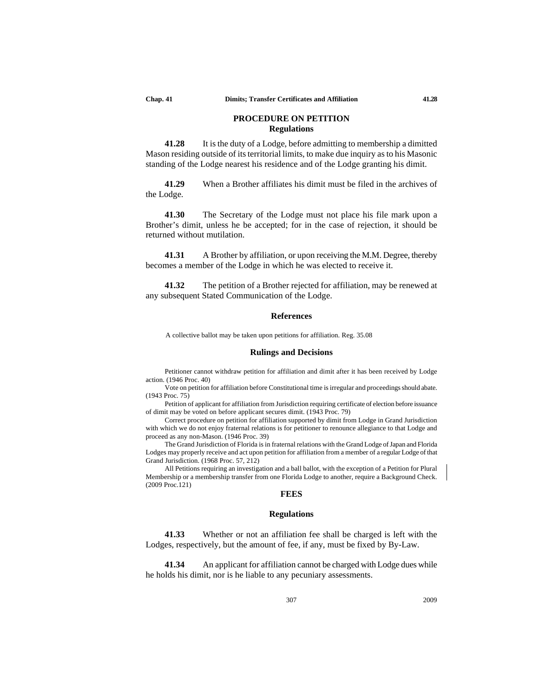# **PROCEDURE ON PETITION Regulations**

**41.28** It is the duty of a Lodge, before admitting to membership a dimitted Mason residing outside of its territorial limits, to make due inquiry as to his Masonic standing of the Lodge nearest his residence and of the Lodge granting his dimit.

**41.29** When a Brother affiliates his dimit must be filed in the archives of the Lodge.

**41.30** The Secretary of the Lodge must not place his file mark upon a Brother's dimit, unless he be accepted; for in the case of rejection, it should be returned without mutilation.

**41.31** A Brother by affiliation, or upon receiving the M.M. Degree, thereby becomes a member of the Lodge in which he was elected to receive it.

**41.32** The petition of a Brother rejected for affiliation, may be renewed at any subsequent Stated Communication of the Lodge.

# **References**

A collective ballot may be taken upon petitions for affiliation. Reg. 35.08

## **Rulings and Decisions**

Petitioner cannot withdraw petition for affiliation and dimit after it has been received by Lodge action. (1946 Proc. 40)

Vote on petition for affiliation before Constitutional time is irregular and proceedings should abate. (1943 Proc. 75)

Petition of applicant for affiliation from Jurisdiction requiring certificate of election before issuance of dimit may be voted on before applicant secures dimit. (1943 Proc. 79)

Correct procedure on petition for affiliation supported by dimit from Lodge in Grand Jurisdiction with which we do not enjoy fraternal relations is for petitioner to renounce allegiance to that Lodge and proceed as any non-Mason. (1946 Proc. 39)

The Grand Jurisdiction of Florida is in fraternal relations with the Grand Lodge of Japan and Florida Lodges may properly receive and act upon petition for affiliation from a member of a regular Lodge of that Grand Jurisdiction. (1968 Proc. 57, 212)

All Petitions requiring an investigation and a ball ballot, with the exception of a Petition for Plural Membership or a membership transfer from one Florida Lodge to another, require a Background Check. (2009 Proc.121)

## **FEES**

### **Regulations**

**41.33** Whether or not an affiliation fee shall be charged is left with the Lodges, respectively, but the amount of fee, if any, must be fixed by By-Law.

**41.34** An applicant for affiliation cannot be charged with Lodge dues while he holds his dimit, nor is he liable to any pecuniary assessments.

307 2009